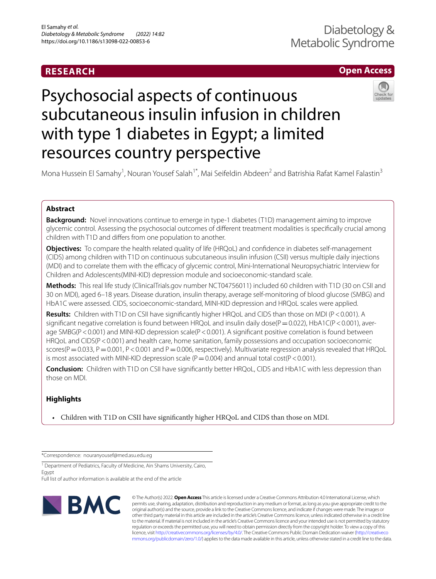# **RESEARCH**

# **Open Access**

# Psychosocial aspects of continuous subcutaneous insulin infusion in children with type 1 diabetes in Egypt; a limited resources country perspective

Mona Hussein El Samahy<sup>1</sup>, Nouran Yousef Salah<sup>1\*</sup>, Mai Seifeldin Abdeen<sup>2</sup> and Batrishia Rafat Kamel Falastin<sup>3</sup>

# **Abstract**

**Background:** Novel innovations continue to emerge in type-1 diabetes (T1D) management aiming to improve glycemic control. Assessing the psychosocial outcomes of diferent treatment modalities is specifcally crucial among children with T1D and difers from one population to another.

**Objectives:** To compare the health related quality of life (HRQoL) and confidence in diabetes self-management (CIDS) among children with T1D on continuous subcutaneous insulin infusion (CSII) versus multiple daily injections (MDI) and to correlate them with the efficacy of glycemic control, Mini-International Neuropsychiatric Interview for Children and Adolescents(MINI-KID) depression module and socioeconomic-standard scale.

**Methods:** This real life study (ClinicalTrials.gov number NCT04756011) included 60 children with T1D (30 on CSII and 30 on MDI), aged 6–18 years. Disease duration, insulin therapy, average self-monitoring of blood glucose (SMBG) and HbA1C were assessed. CIDS, socioeconomic-standard, MINI-KID depression and HRQoL scales were applied.

**Results:** Children with T1D on CSII have significantly higher HRQoL and CIDS than those on MDI (P<0.001). A significant negative correlation is found between HRQoL and insulin daily dose( $P=0.022$ ), HbA1C( $P < 0.001$ ), average SMBG(P < 0.001) and MINI-KID depression scale(P < 0.001). A significant positive correlation is found between HRQoL and CIDS(P < 0.001) and health care, home sanitation, family possessions and occupation socioeconomic scores( $P=0.033$ ,  $P=0.001$ ,  $P<0.001$  and  $P=0.006$ , respectively). Multivariate regression analysis revealed that HRQoL is most associated with MINI-KID depression scale ( $P = 0.004$ ) and annual total cost( $P < 0.001$ ).

**Conclusion:** Children with T1D on CSII have signifcantly better HRQoL, CIDS and HbA1C with less depression than those on MDI.

# **Highlights**

• Children with T1D on CSII have signifcantly higher HRQoL and CIDS than those on MDI.

\*Correspondence: nouranyousef@med.asu.edu.eg

Full list of author information is available at the end of the article



© The Author(s) 2022. **Open Access** This article is licensed under a Creative Commons Attribution 4.0 International License, which permits use, sharing, adaptation, distribution and reproduction in any medium or format, as long as you give appropriate credit to the original author(s) and the source, provide a link to the Creative Commons licence, and indicate if changes were made. The images or other third party material in this article are included in the article's Creative Commons licence, unless indicated otherwise in a credit line to the material. If material is not included in the article's Creative Commons licence and your intended use is not permitted by statutory regulation or exceeds the permitted use, you will need to obtain permission directly from the copyright holder. To view a copy of this licence, visit [http://creativecommons.org/licenses/by/4.0/.](http://creativecommons.org/licenses/by/4.0/) The Creative Commons Public Domain Dedication waiver ([http://creativeco](http://creativecommons.org/publicdomain/zero/1.0/) [mmons.org/publicdomain/zero/1.0/](http://creativecommons.org/publicdomain/zero/1.0/)) applies to the data made available in this article, unless otherwise stated in a credit line to the data.

<sup>&</sup>lt;sup>1</sup> Department of Pediatrics, Faculty of Medicine, Ain Shams University, Cairo, Egypt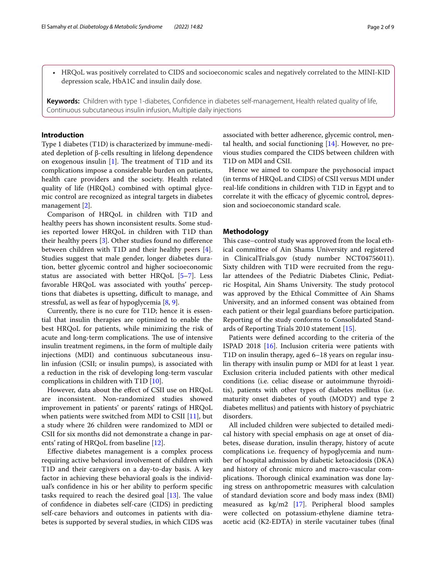• HRQoL was positively correlated to CIDS and socioeconomic scales and negatively correlated to the MINI-KID depression scale, HbA1C and insulin daily dose.

**Keywords:** Children with type 1-diabetes, Confdence in diabetes self-management, Health related quality of life, Continuous subcutaneous insulin infusion, Multiple daily injections

# **Introduction**

Type 1 diabetes (T1D) is characterized by immune-mediated depletion of β-cells resulting in lifelong dependence on exogenous insulin  $[1]$  $[1]$ . The treatment of T1D and its complications impose a considerable burden on patients, health care providers and the society. Health related quality of life (HRQoL) combined with optimal glycemic control are recognized as integral targets in diabetes management [\[2](#page-7-1)].

Comparison of HRQoL in children with T1D and healthy peers has shown inconsistent results. Some studies reported lower HRQoL in children with T1D than their healthy peers [[3\]](#page-7-2). Other studies found no diference between children with T1D and their healthy peers [\[4](#page-7-3)]. Studies suggest that male gender, longer diabetes duration, better glycemic control and higher socioeconomic status are associated with better HRQoL [\[5](#page-7-4)[–7\]](#page-7-5). Less favorable HRQoL was associated with youths' perceptions that diabetes is upsetting, difficult to manage, and stressful, as well as fear of hypoglycemia [\[8](#page-7-6), [9\]](#page-8-0).

Currently, there is no cure for T1D; hence it is essential that insulin therapies are optimized to enable the best HRQoL for patients, while minimizing the risk of acute and long-term complications. The use of intensive insulin treatment regimens, in the form of multiple daily injections (MDI) and continuous subcutaneous insulin infusion (CSII; or insulin pumps), is associated with a reduction in the risk of developing long-term vascular complications in children with T1D [[10](#page-8-1)].

However, data about the efect of CSII use on HRQoL are inconsistent. Non-randomized studies showed improvement in patients' or parents' ratings of HRQoL when patients were switched from MDI to CSII  $[11]$  $[11]$ , but a study where 26 children were randomized to MDI or CSII for six months did not demonstrate a change in parents' rating of HRQoL from baseline [\[12](#page-8-3)].

Efective diabetes management is a complex process requiring active behavioral involvement of children with T1D and their caregivers on a day-to-day basis. A key factor in achieving these behavioral goals is the individual's confdence in his or her ability to perform specifc tasks required to reach the desired goal  $[13]$  $[13]$ . The value of confdence in diabetes self-care (CIDS) in predicting self-care behaviors and outcomes in patients with diabetes is supported by several studies, in which CIDS was

associated with better adherence, glycemic control, mental health, and social functioning [[14\]](#page-8-5). However, no previous studies compared the CIDS between children with T1D on MDI and CSII.

Hence we aimed to compare the psychosocial impact (in terms of HRQoL and CIDS) of CSII versus MDI under real-life conditions in children with T1D in Egypt and to correlate it with the efficacy of glycemic control, depression and socioeconomic standard scale.

# **Methodology**

This case–control study was approved from the local ethical committee of Ain Shams University and registered in ClinicalTrials.gov (study number NCT04756011). Sixty children with T1D were recruited from the regular attendees of the Pediatric Diabetes Clinic, Pediatric Hospital, Ain Shams University. The study protocol was approved by the Ethical Committee of Ain Shams University, and an informed consent was obtained from each patient or their legal guardians before participation. Reporting of the study conforms to Consolidated Standards of Reporting Trials 2010 statement [[15](#page-8-6)].

Patients were defned according to the criteria of the ISPAD 2018 [[16\]](#page-8-7). Inclusion criteria were patients with T1D on insulin therapy, aged 6–18 years on regular insulin therapy with insulin pump or MDI for at least 1 year. Exclusion criteria included patients with other medical conditions (i.e. celiac disease or autoimmune thyroiditis), patients with other types of diabetes mellitus (i.e. maturity onset diabetes of youth (MODY) and type 2 diabetes mellitus) and patients with history of psychiatric disorders.

All included children were subjected to detailed medical history with special emphasis on age at onset of diabetes, disease duration, insulin therapy, history of acute complications i.e. frequency of hypoglycemia and number of hospital admission by diabetic ketoacidosis (DKA) and history of chronic micro and macro-vascular complications. Thorough clinical examination was done laying stress on anthropometric measures with calculation of standard deviation score and body mass index (BMI) measured as kg/m2 [[17\]](#page-8-8). Peripheral blood samples were collected on potassium-ethylene diamine tetraacetic acid (K2-EDTA) in sterile vacutainer tubes (fnal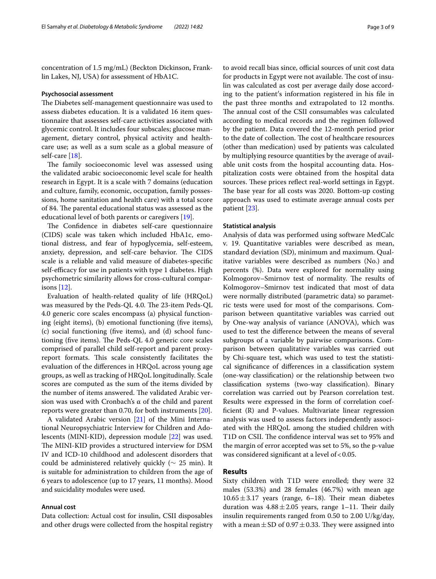concentration of 1.5 mg/mL) (Beckton Dickinson, Franklin Lakes, NJ, USA) for assessment of HbA1C.

# **Psychosocial assessment**

The Diabetes self-management questionnaire was used to assess diabetes education. It is a validated 16 item questionnaire that assesses self-care activities associated with glycemic control. It includes four subscales; glucose management, dietary control, physical activity and healthcare use; as well as a sum scale as a global measure of self-care [[18\]](#page-8-9).

The family socioeconomic level was assessed using the validated arabic socioeconomic level scale for health research in Egypt. It is a scale with 7 domains (education and culture, family, economic, occupation, family possessions, home sanitation and health care) with a total score of 84. The parental educational status was assessed as the educational level of both parents or caregivers [[19\]](#page-8-10).

The Confidence in diabetes self-care questionnaire (CIDS) scale was taken which included HbA1c, emotional distress, and fear of hypoglycemia, self-esteem, anxiety, depression, and self-care behavior. The CIDS scale is a reliable and valid measure of diabetes-specifc self-efficacy for use in patients with type 1 diabetes. High psychometric similarity allows for cross-cultural comparisons [\[12\]](#page-8-3).

Evaluation of health-related quality of life (HRQoL) was measured by the Peds-QL 4.0. The 23-item Peds-QL 4.0 generic core scales encompass (a) physical functioning (eight items), (b) emotional functioning (fve items), (c) social functioning (fve items), and (d) school functioning (five items). The Peds-QL 4.0 generic core scales comprised of parallel child self-report and parent proxyreport formats. This scale consistently facilitates the evaluation of the diferences in HRQoL across young age groups, as well as tracking of HRQoL longitudinally. Scale scores are computed as the sum of the items divided by the number of items answered. The validated Arabic version was used with Cronbach's α of the child and parent reports were greater than 0.70, for both instruments [[20](#page-8-11)].

A validated Arabic version [[21\]](#page-8-12) of the Mini International Neuropsychiatric Interview for Children and Adolescents (MINI-KID), depression module [[22\]](#page-8-13) was used. The MINI-KID provides a structured interview for DSM IV and ICD-10 childhood and adolescent disorders that could be administered relatively quickly ( $\sim$  25 min). It is suitable for administration to children from the age of 6 years to adolescence (up to 17 years, 11 months). Mood and suicidality modules were used.

# **Annual cost**

Data collection: Actual cost for insulin, CSII disposables and other drugs were collected from the hospital registry to avoid recall bias since, official sources of unit cost data for products in Egypt were not available. The cost of insulin was calculated as cost per average daily dose according to the patient′s information registered in his fle in the past three months and extrapolated to 12 months. The annual cost of the CSII consumables was calculated according to medical records and the regimen followed by the patient. Data covered the 12-month period prior to the date of collection. The cost of healthcare resources (other than medication) used by patients was calculated by multiplying resource quantities by the average of available unit costs from the hospital accounting data. Hospitalization costs were obtained from the hospital data sources. These prices reflect real-world settings in Egypt. The base year for all costs was 2020. Bottom-up costing approach was used to estimate average annual costs per patient [[23\]](#page-8-14).

# **Statistical analysis**

Analysis of data was performed using software MedCalc v. 19. Quantitative variables were described as mean, standard deviation (SD), minimum and maximum. Qualitative variables were described as numbers (No.) and percents (%). Data were explored for normality using Kolmogorov–Smirnov test of normality. The results of Kolmogorov–Smirnov test indicated that most of data were normally distributed (parametric data) so parametric tests were used for most of the comparisons. Comparison between quantitative variables was carried out by One-way analysis of variance (ANOVA), which was used to test the diference between the means of several subgroups of a variable by pairwise comparisons. Comparison between qualitative variables was carried out by Chi-square test, which was used to test the statistical signifcance of diferences in a classifcation system (one-way classifcation) or the relationship between two classifcation systems (two-way classifcation). Binary correlation was carried out by Pearson correlation test. Results were expressed in the form of correlation coeffcient (R) and P-values. Multivariate linear regression analysis was used to assess factors independently associated with the HRQoL among the studied children with T1D on CSII. The confidence interval was set to 95% and the margin of error accepted was set to 5%, so the p-value was considered significant at a level of  $< 0.05$ .

# **Results**

Sixty children with T1D were enrolled; they were 32 males (53.3%) and 28 females (46.7%) with mean age  $10.65 \pm 3.17$  years (range, 6-18). Their mean diabetes duration was  $4.88 \pm 2.05$  years, range 1–11. Their daily insulin requirements ranged from 0.50 to 2.00 U/kg/day, with a mean  $\pm$  SD of 0.97  $\pm$  0.33. They were assigned into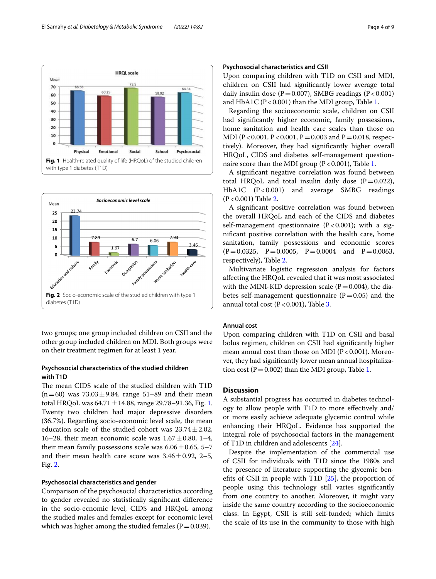

<span id="page-3-0"></span>

<span id="page-3-1"></span>two groups; one group included children on CSII and the other group included children on MDI. Both groups were on their treatment regimen for at least 1 year.

# **Psychosocial characteristics of the studied children with T1D**

The mean CIDS scale of the studied children with T1D  $(n=60)$  was  $73.03 \pm 9.84$ , range 51–89 and their mean total HRQoL was  $64.71 \pm 14.88$  $64.71 \pm 14.88$  $64.71 \pm 14.88$ , range 29.78–91.36, Fig. 1. Twenty two children had major depressive disorders (36.7%). Regarding socio-economic level scale, the mean education scale of the studied cohort was  $23.74 \pm 2.02$ , 16–28, their mean economic scale was  $1.67 \pm 0.80$ , 1–4, their mean family possessions scale was  $6.06 \pm 0.65$ , 5–7 and their mean health care score was  $3.46 \pm 0.92$ , 2–5, Fig. [2.](#page-3-1)

# **Psychosocial characteristics and gender**

Comparison of the psychosocial characteristics according to gender revealed no statistically signifcant diference in the socio-ecnomic level, CIDS and HRQoL among the studied males and females except for economic level which was higher among the studied females ( $P=0.039$ ).

# **Psychosocial characteristics and CSII**

Upon comparing children with T1D on CSII and MDI, children on CSII had signifcantly lower average total daily insulin dose  $(P=0.007)$ , SMBG readings  $(P<0.001)$ and HbA1C ( $P < 0.001$ ) than the MDI group, Table [1](#page-4-0).

Regarding the socioeconomic scale, children on CSII had signifcantly higher economic, family possessions, home sanitation and health care scales than those on MDI (P < 0.001, P < 0.001, P = 0.003 and P = 0.018, respectively). Moreover, they had signifcantly higher overall HRQoL, CIDS and diabetes self-management questionnaire score than the MDI group ( $P < 0.001$ ), Table [1.](#page-4-0)

A signifcant negative correlation was found between total HRQoL and total insulin daily dose  $(P=0.022)$ , HbA1C (P<0.001) and average SMBG readings (P<0.001) Table [2](#page-5-0).

A signifcant positive correlation was found between the overall HRQoL and each of the CIDS and diabetes self-management questionnaire  $(P<0.001)$ ; with a signifcant positive correlation with the health care, home sanitation, family possessions and economic scores  $(P=0.0325, P=0.0005, P=0.0004$  and  $P=0.0063$ , respectively), Table [2](#page-5-0).

Multivariate logistic regression analysis for factors afecting the HRQoL revealed that it was most associated with the MINI-KID depression scale ( $P=0.004$ ), the diabetes self-management questionnaire ( $P=0.05$ ) and the annual total cost ( $P < 0.001$ ), Table [3](#page-6-0).

# **Annual cost**

Upon comparing children with T1D on CSII and basal bolus regimen, children on CSII had signifcantly higher mean annual cost than those on MDI ( $P < 0.001$ ). Moreover, they had signifcantly lower mean annual hospitalization cost ( $P = 0.002$ ) than the MDI group, Table [1](#page-4-0).

# **Discussion**

A substantial progress has occurred in diabetes technology to allow people with T1D to more efectively and/ or more easily achieve adequate glycemic control while enhancing their HRQoL. Evidence has supported the integral role of psychosocial factors in the management of T1D in children and adolescents [[24\]](#page-8-15).

Despite the implementation of the commercial use of CSII for individuals with T1D since the 1980s and the presence of literature supporting the glycemic benefts of CSII in people with T1D [\[25](#page-8-16)], the proportion of people using this technology still varies signifcantly from one country to another. Moreover, it might vary inside the same country according to the socioeconomic class. In Egypt, CSII is still self-funded; which limits the scale of its use in the community to those with high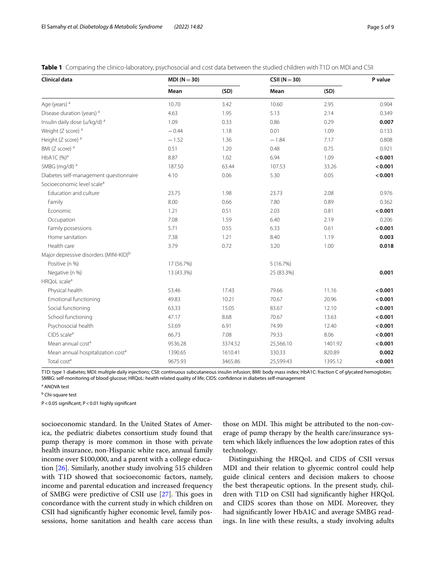<span id="page-4-0"></span>**Table 1** Comparing the clinico-laboratory, psychosocial and cost data between the studied children with T1D on MDI and CSII

| <b>Clinical data</b>                               | $MDI (N = 30)$ |         | $CSII (N=30)$ |         | P value |
|----------------------------------------------------|----------------|---------|---------------|---------|---------|
|                                                    | Mean           | (SD)    | Mean          | (SD)    |         |
| Age (years) <sup>a</sup>                           | 10.70          | 3.42    | 10.60         | 2.95    | 0.904   |
| Disease duration (years) <sup>a</sup>              | 4.63           | 1.95    | 5.13          | 2.14    | 0.349   |
| Insulin daily dose (u/kg/d) a                      | 1.09           | 0.33    | 0.86          | 0.29    | 0.007   |
| Weight (Z score) <sup>a</sup>                      | $-0.44$        | 1.18    | 0.01          | 1.09    | 0.133   |
| Height (Z score) <sup>a</sup>                      | $-1.52$        | 1.36    | $-1.84$       | 7.17    | 0.808   |
| BMI (Z score) <sup>a</sup>                         | 0.51           | 1.20    | 0.48          | 0.75    | 0.921   |
| HbA1C (%) <sup>a</sup>                             | 8.87           | 1.02    | 6.94          | 1.09    | < 0.001 |
| SMBG (mg/dl) <sup>a</sup>                          | 187.50         | 63.44   | 107.53        | 33.26   | < 0.001 |
| Diabetes self-management questionnaire             | 4.10           | 0.06    | 5.30          | 0.05    | < 0.001 |
| Socioeconomic level scale <sup>a</sup>             |                |         |               |         |         |
| Education and culture                              | 23.75          | 1.98    | 23.73         | 2.08    | 0.976   |
| Family                                             | 8.00           | 0.66    | 7.80          | 0.89    | 0.362   |
| Economic                                           | 1.21           | 0.51    | 2.03          | 0.81    | < 0.001 |
| Occupation                                         | 7.08           | 1.59    | 6.40          | 2.19    | 0.206   |
| Family possessions                                 | 5.71           | 0.55    | 6.33          | 0.61    | < 0.001 |
| Home sanitation                                    | 7.38           | 1.21    | 8.40          | 1.19    | 0.003   |
| Health care                                        | 3.79           | 0.72    | 3.20          | 1.00    | 0.018   |
| Major depressive disorders (MINI-KID) <sup>b</sup> |                |         |               |         |         |
| Positive (n %)                                     | 17 (56.7%)     |         | 5 (16.7%)     |         |         |
| Negative (n %)                                     | 13 (43.3%)     |         | 25 (83.3%)    |         | 0.001   |
| HRQoL scale <sup>a</sup>                           |                |         |               |         |         |
| Physical health                                    | 53.46          | 17.43   | 79.66         | 11.16   | < 0.001 |
| Emotional functioning                              | 49.83          | 10.21   | 70.67         | 20.96   | < 0.001 |
| Social functioning                                 | 63.33          | 15.05   | 83.67         | 12.10   | < 0.001 |
| School functioning                                 | 47.17          | 8.68    | 70.67         | 13.63   | < 0.001 |
| Psychosocial health                                | 53.69          | 6.91    | 74.99         | 12.40   | < 0.001 |
| $C$ IDS scale $a$                                  | 66.73          | 7.08    | 79.33         | 8.06    | < 0.001 |
| Mean annual cost <sup>a</sup>                      | 9536.28        | 3374.52 | 25,566.10     | 1401.92 | < 0.001 |
| Mean annual hospitalization cost <sup>a</sup>      | 1390.65        | 1610.41 | 330.33        | 820.89  | 0.002   |
| Total cost <sup>a</sup>                            | 9675.93        | 3465.86 | 25,599.43     | 1395.12 | < 0.001 |

T1D: type 1 diabetes; MDI: multiple daily injections; CSII: continuous subcutaneous insulin infusion; BMI: body mass index; HbA1C: fraction C of glycated hemoglobin; SMBG: self-monitoring of blood glucose; HRQoL: health related quality of life; CIDS: confdence in diabetes self-management

a ANOVA test

<sup>b</sup> Chi-square test

P<0.05 signifcant; P<0.01 highly signifcant

socioeconomic standard. In the United States of America, the pediatric diabetes consortium study found that pump therapy is more common in those with private health insurance, non-Hispanic white race, annual family income over \$100,000, and a parent with a college education [\[26](#page-8-17)]. Similarly, another study involving 515 children with T1D showed that socioeconomic factors, namely, income and parental education and increased frequency of SMBG were predictive of CSII use [[27\]](#page-8-18). This goes in concordance with the current study in which children on CSII had signifcantly higher economic level, family possessions, home sanitation and health care access than

those on MDI. This might be attributed to the non-coverage of pump therapy by the health care/insurance system which likely infuences the low adoption rates of this technology.

Distinguishing the HRQoL and CIDS of CSII versus MDI and their relation to glycemic control could help guide clinical centers and decision makers to choose the best therapeutic options. In the present study, children with T1D on CSII had signifcantly higher HRQoL and CIDS scores than those on MDI. Moreover, they had signifcantly lower HbA1C and average SMBG readings. In line with these results, a study involving adults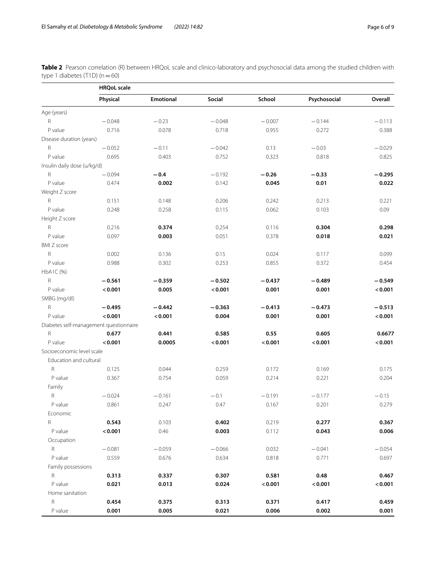<span id="page-5-0"></span>**Table 2** Pearson correlation (R) between HRQoL scale and clinico-laboratory and psychosocial data among the studied children with type 1 diabetes (T1D)  $(n=60)$ 

|                             | <b>HRQoL</b> scale                     |                  |          |          |              |          |  |
|-----------------------------|----------------------------------------|------------------|----------|----------|--------------|----------|--|
|                             | Physical                               | <b>Emotional</b> | Social   | School   | Psychosocial | Overall  |  |
| Age (years)                 |                                        |                  |          |          |              |          |  |
| R                           | $-0.048$                               | $-0.23$          | $-0.048$ | $-0.007$ | $-0.144$     | $-0.113$ |  |
| P value                     | 0.716                                  | 0.078            | 0.718    | 0.955    | 0.272        | 0.388    |  |
| Disease duration (years)    |                                        |                  |          |          |              |          |  |
| R                           | $-0.052$                               | $-0.11$          | $-0.042$ | 0.13     | $-0.03$      | $-0.029$ |  |
| P value                     | 0.695                                  | 0.403            | 0.752    | 0.323    | 0.818        | 0.825    |  |
| Insulin daily dose (u/kg/d) |                                        |                  |          |          |              |          |  |
| R                           | $-0.094$                               | $-0.4$           | $-0.192$ | $-0.26$  | $-0.33$      | $-0.295$ |  |
| P value                     | 0.474                                  | 0.002            | 0.142    | 0.045    | 0.01         | 0.022    |  |
| Weight Z score              |                                        |                  |          |          |              |          |  |
| R                           | 0.151                                  | 0.148            | 0.206    | 0.242    | 0.213        | 0.221    |  |
| P value                     | 0.248                                  | 0.258            | 0.115    | 0.062    | 0.103        | 0.09     |  |
| Height Z score              |                                        |                  |          |          |              |          |  |
| $\mathsf R$                 | 0.216                                  | 0.374            | 0.254    | 0.116    | 0.304        | 0.298    |  |
| P value                     | 0.097                                  | 0.003            | 0.051    | 0.378    | 0.018        | 0.021    |  |
| <b>BMI Z score</b>          |                                        |                  |          |          |              |          |  |
| $\mathsf R$                 | 0.002                                  | 0.136            | 0.15     | 0.024    | 0.117        | 0.099    |  |
| P value                     | 0.988                                  | 0.302            | 0.253    | 0.855    | 0.372        | 0.454    |  |
| HbA1C (%)                   |                                        |                  |          |          |              |          |  |
| R                           | $-0.561$                               | $-0.359$         | $-0.502$ | $-0.437$ | $-0.489$     | $-0.549$ |  |
| P value                     | < 0.001                                | 0.005            | < 0.001  | 0.001    | 0.001        | < 0.001  |  |
| SMBG (mg/dl)                |                                        |                  |          |          |              |          |  |
| R                           | $-0.495$                               | $-0.442$         | $-0.363$ | $-0.413$ | $-0.473$     | $-0.513$ |  |
| P value                     | < 0.001                                | < 0.001          | 0.004    | 0.001    | 0.001        | < 0.001  |  |
|                             | Diabetes self-management questionnaire |                  |          |          |              |          |  |
| ${\sf R}$                   | 0.677                                  | 0.441            | 0.585    | 0.55     | 0.605        | 0.6677   |  |
| P value                     | < 0.001                                | 0.0005           | < 0.001  | < 0.001  | < 0.001      | < 0.001  |  |
| Socioeconomic level scale   |                                        |                  |          |          |              |          |  |
| Education and cultural      |                                        |                  |          |          |              |          |  |
| R                           | 0.125                                  | 0.044            | 0.259    | 0.172    | 0.169        | 0.175    |  |
| P value                     | 0.367                                  | 0.754            | 0.059    | 0.214    | 0.221        | 0.204    |  |
| Family                      |                                        |                  |          |          |              |          |  |
| $\mathsf R$                 | $-0.024$                               | $-0.161$         | $-0.1$   | $-0.191$ | $-0.177$     | $-0.15$  |  |
| P value                     | 0.861                                  | 0.247            | 0.47     | 0.167    | 0.201        | 0.279    |  |
| Economic                    |                                        |                  |          |          |              |          |  |
| R                           | 0.543                                  | 0.103            | 0.402    | 0.219    | 0.277        | 0.367    |  |
| P value                     | < 0.001                                | 0.46             | 0.003    | 0.112    | 0.043        | 0.006    |  |
| Occupation                  |                                        |                  |          |          |              |          |  |
| $\mathsf R$                 | $-0.081$                               | $-0.059$         | $-0.066$ | 0.032    | $-0.041$     | $-0.054$ |  |
| P value                     | 0.559                                  | 0.676            | 0.634    | 0.818    | 0.771        | 0.697    |  |
| Family possessions          |                                        |                  |          |          |              |          |  |
| R                           | 0.313                                  | 0.337            | 0.307    | 0.581    | 0.48         | 0.467    |  |
| P value                     | 0.021                                  | 0.013            | 0.024    | < 0.001  | < 0.001      | < 0.001  |  |
| Home sanitation             |                                        |                  |          |          |              |          |  |
| $\mathsf R$                 | 0.454                                  | 0.375            | 0.313    | 0.371    | 0.417        | 0.459    |  |
| P value                     | 0.001                                  | 0.005            | 0.021    | 0.006    | 0.002        | 0.001    |  |
|                             |                                        |                  |          |          |              |          |  |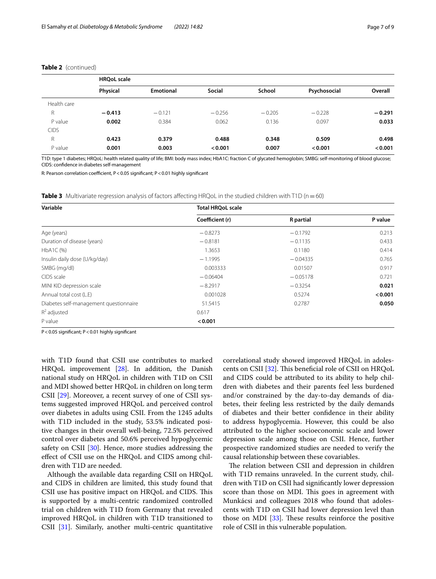|             | <b>HROoL</b> scale |                  |               |          |              |          |
|-------------|--------------------|------------------|---------------|----------|--------------|----------|
|             | Physical           | <b>Emotional</b> | <b>Social</b> | School   | Psychosocial | Overall  |
| Health care |                    |                  |               |          |              |          |
| R           | $-0.413$           | $-0.121$         | $-0.256$      | $-0.205$ | $-0.228$     | $-0.291$ |
| P value     | 0.002              | 0.384            | 0.062         | 0.136    | 0.097        | 0.033    |
| <b>CIDS</b> |                    |                  |               |          |              |          |
| R           | 0.423              | 0.379            | 0.488         | 0.348    | 0.509        | 0.498    |
| P value     | 0.001              | 0.003            | < 0.001       | 0.007    | < 0.001      | < 0.001  |

# **Table 2** (continued)

T1D: type 1 diabetes; HRQoL: health related quality of life; BMI: body mass index; HbA1C: fraction C of glycated hemoglobin; SMBG: self-monitoring of blood glucose; CIDS: confdence in diabetes self-management

R: Pearson correlation coefficient, P < 0.05 significant; P < 0.01 highly significant

<span id="page-6-0"></span>**Table 3** Multivariate regression analysis of factors affecting HRQoL in the studied children with T1D (n = 60)

| Variable                               | <b>Total HRQoL scale</b> |                  |         |  |  |  |
|----------------------------------------|--------------------------|------------------|---------|--|--|--|
|                                        | Coefficient (r)          | <b>R</b> partial | P value |  |  |  |
| Age (years)                            | $-0.8273$                | $-0.1792$        | 0.213   |  |  |  |
| Duration of disease (years)            | $-0.8181$                | $-0.1135$        | 0.433   |  |  |  |
| HbA1C (%)                              | 1.3653                   | 0.1180           | 0.414   |  |  |  |
| Insulin daily dose (U/kg/day)          | $-1.1995$                | $-0.04335$       | 0.765   |  |  |  |
| SMBG (mg/dl)                           | 0.003333                 | 0.01507          | 0.917   |  |  |  |
| CIDS scale                             | $-0.06404$               | $-0.05178$       | 0.721   |  |  |  |
| MINI KID depression scale              | $-8.2917$                | $-0.3254$        | 0.021   |  |  |  |
| Annual total cost (L.E)                | 0.001028                 | 0.5274           | < 0.001 |  |  |  |
| Diabetes self-management questionnaire | 51.5415                  | 0.2787           | 0.050   |  |  |  |
| $R^2$ adjusted                         | 0.617                    |                  |         |  |  |  |
| P value                                | < 0.001                  |                  |         |  |  |  |

P<0.05 signifcant; P<0.01 highly signifcant

with T1D found that CSII use contributes to marked HRQoL improvement [[28\]](#page-8-19). In addition, the Danish national study on HRQoL in children with T1D on CSII and MDI showed better HRQoL in children on long term CSII [[29](#page-8-20)]. Moreover, a recent survey of one of CSII systems suggested improved HRQoL and perceived control over diabetes in adults using CSII. From the 1245 adults with T1D included in the study, 53.5% indicated positive changes in their overall well-being, 72.5% perceived control over diabetes and 50.6% perceived hypoglycemic safety on CSII [[30\]](#page-8-21). Hence, more studies addressing the efect of CSII use on the HRQoL and CIDS among children with T1D are needed.

Although the available data regarding CSII on HRQoL and CIDS in children are limited, this study found that CSII use has positive impact on HRQoL and CIDS. This is supported by a multi-centric randomized controlled trial on children with T1D from Germany that revealed improved HRQoL in children with T1D transitioned to CSII [\[31](#page-8-22)]. Similarly, another multi-centric quantitative correlational study showed improved HRQoL in adoles-cents on CSII [\[32](#page-8-23)]. This beneficial role of CSII on HRQoL and CIDS could be attributed to its ability to help children with diabetes and their parents feel less burdened and/or constrained by the day-to-day demands of diabetes, their feeling less restricted by the daily demands of diabetes and their better confdence in their ability to address hypoglycemia. However, this could be also attributed to the higher socioeconomic scale and lower depression scale among those on CSII. Hence, further prospective randomized studies are needed to verify the causal relationship between these covariables.

The relation between CSII and depression in children with T1D remains unraveled. In the current study, children with T1D on CSII had signifcantly lower depression score than those on MDI. This goes in agreement with Munkácsi and colleagues 2018 who found that adolescents with T1D on CSII had lower depression level than those on MDI  $[33]$  $[33]$ . These results reinforce the positive role of CSII in this vulnerable population.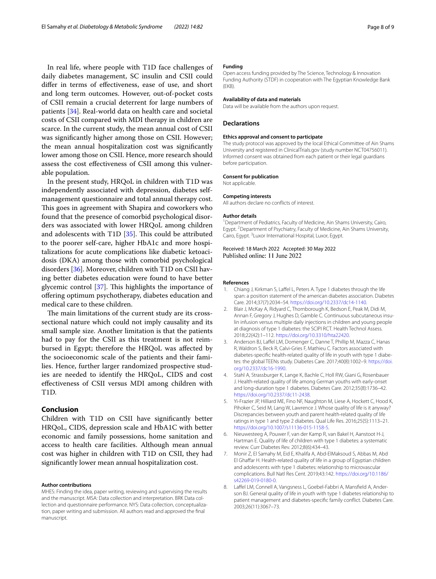In real life, where people with T1D face challenges of daily diabetes management, SC insulin and CSII could difer in terms of efectiveness, ease of use, and short and long term outcomes. However, out-of-pocket costs of CSII remain a crucial deterrent for large numbers of patients [\[34\]](#page-8-25). Real-world data on health care and societal costs of CSII compared with MDI therapy in children are scarce. In the current study, the mean annual cost of CSII was signifcantly higher among those on CSII. However; the mean annual hospitalization cost was signifcantly lower among those on CSII. Hence, more research should assess the cost efectiveness of CSII among this vulnerable population.

In the present study, HRQoL in children with T1D was independently associated with depression, diabetes selfmanagement questionnaire and total annual therapy cost. This goes in agreement with Shapira and coworkers who found that the presence of comorbid psychological disorders was associated with lower HRQoL among children and adolescents with T1D  $[35]$  $[35]$ . This could be attributed to the poorer self-care, higher HbA1c and more hospitalizations for acute complications like diabetic ketoacidosis (DKA) among those with comorbid psychological disorders [\[36\]](#page-8-27). Moreover, children with T1D on CSII having better diabetes education were found to have better glycemic control  $[37]$ . This highlights the importance of ofering optimum psychotherapy, diabetes education and medical care to these children.

The main limitations of the current study are its crosssectional nature which could not imply causality and its small sample size. Another limitation is that the patients had to pay for the CSII as this treatment is not reimbursed in Egypt; therefore the HRQoL was afected by the socioeconomic scale of the patients and their families. Hence, further larger randomized prospective studies are needed to identify the HRQoL, CIDS and cost efectiveness of CSII versus MDI among children with T1D.

# **Conclusion**

Children with T1D on CSII have signifcantly better HRQoL, CIDS, depression scale and HbA1C with better economic and family possessions, home sanitation and access to health care facilities. Although mean annual cost was higher in children with T1D on CSII, they had signifcantly lower mean annual hospitalization cost.

# **Author contributions**

MHES: Finding the idea, paper writing, reviewing and supervising the results and the manuscript. MSA: Data collection and interpretation. BRK Data collection and questionnaire performance. NYS: Data collection, conceptualization, paper writing and submission. All authors read and approved the fnal manuscript.

# **Funding**

Open access funding provided by The Science, Technology & Innovation Funding Authority (STDF) in cooperation with The Egyptian Knowledge Bank (EKB).

### **Availability of data and materials**

Data will be available from the authors upon request.

# **Declarations**

# **Ethics approval and consent to participate**

The study protocol was approved by the local Ethical Committee of Ain Shams University and registered in ClinicalTrials.gov (study number NCT04756011). Informed consent was obtained from each patient or their legal guardians before participation.

#### **Consent for publication**

Not applicable.

# **Competing interests**

All authors declare no conficts of interest.

#### **Author details**

<sup>1</sup> Department of Pediatrics, Faculty of Medicine, Ain Shams University, Cairo, Egypt.<sup>2</sup> Department of Psychiatry, Faculty of Medicine, Ain Shams University, Cairo, Egypt.<sup>3</sup> Luxor International Hospital, Luxor, Egypt.

# Received: 18 March 2022 Accepted: 30 May 2022 Published online: 11 June 2022

#### **References**

- <span id="page-7-0"></span>1. Chiang J, Kirkman S, Laffel L, Peters A. Type 1 diabetes through the life span: a position statement of the american diabetes association. Diabetes Care. 2014;37(7):2034–54. <https://doi.org/10.2337/dc14-1140>.
- <span id="page-7-1"></span>2. Blair J, McKay A, Ridyard C, Thornborough K, Bedson E, Peak M, Didi M, Annan F, Gregory J, Hughes D, Gamble C. Continuous subcutaneous insulin infusion versus multiple daily injections in children and young people at diagnosis of type 1 diabetes: the SCIPI RCT. Health Technol Assess. 2018;22(42):1–112. [https://doi.org/10.3310/hta22420.](https://doi.org/10.3310/hta22420)
- <span id="page-7-2"></span>3. Anderson BJ, Lafel LM, Domenger C, Danne T, Phillip M, Mazza C, Hanas R, Waldron S, Beck R, Calvi-Gries F, Mathieu C. Factors associated with diabetes-specifc health-related quality of life in youth with type 1 diabetes: the global TEENs study. Diabetes Care. 2017;40(8):1002–9. [https://doi.](https://doi.org/10.2337/dc16-1990) [org/10.2337/dc16-1990](https://doi.org/10.2337/dc16-1990).
- <span id="page-7-3"></span>4. Stahl A, Strassburger K, Lange K, Bachle C, Holl RW, Giani G, Rosenbauer J. Health-related quality of life among German youths with early-onset and long-duration type 1 diabetes. Diabetes Care. 2012;35(8):1736–42. <https://doi.org/10.2337/dc11-2438>.
- <span id="page-7-4"></span>5. Yi-Frazier JP, Hilliard ME, Fino NF, Naughton M, Liese A, Hockett C, Hood K, Pihoker C, Seid M, Lang W, Lawrence J. Whose quality of life is it anyway? Discrepancies between youth and parent health-related quality of life ratings in type 1 and type 2 diabetes. Qual Life Res. 2016;25(5):1113–21. [https://doi.org/10.1007/s11136-015-1158-5.](https://doi.org/10.1007/s11136-015-1158-5)
- 6. Nieuwesteeg A, Pouwer F, van der Kamp R, van Bakel H, Aanstoot H-J, Hartman E. Quality of life of children with type 1 diabetes: a systematic review. Curr Diabetes Rev. 2012;8(6):434–43.
- <span id="page-7-5"></span>7. Monir Z, El Samahy M, Eid E, Khalifa A, Abd-ElMaksoud S, Abbas M, Abd El Ghafar H. Health-related quality of life in a group of Egyptian children and adolescents with type 1 diabetes: relationship to microvascular complications. Bull Natl Res Cent. 2019;43:142. [https://doi.org/10.1186/](https://doi.org/10.1186/s42269-019-0180-0) [s42269-019-0180-0.](https://doi.org/10.1186/s42269-019-0180-0)
- <span id="page-7-6"></span>8. Laffel LM, Connell A, Vangsness L, Goebel-Fabbri A, Mansfield A, Anderson BJ. General quality of life in youth with type 1 diabetes relationship to patient management and diabetes-specifc family confict. Diabetes Care. 2003;26(11):3067–73.